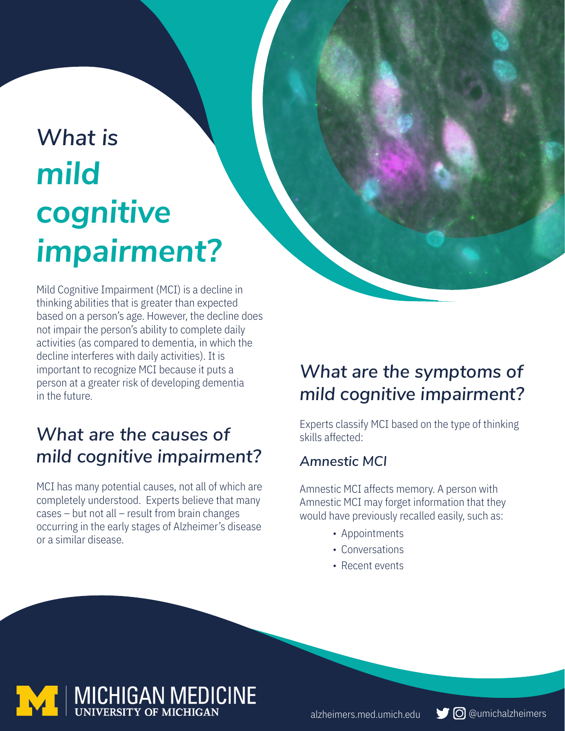# *What is mild cognitive impairment?*

Mild Cognitive Impairment (MCI) is a decline in thinking abilities that is greater than expected based on a person's age. However, the decline does not impair the person's ability to complete daily activities (as compared to dementia, in which the decline interferes with daily activities). It is important to recognize MCI because it puts a person at a greater risk of developing dementia in the future.

## *What are the causes of mild cognitive impairment?*

MCI has many potential causes, not all of which are completely understood. Experts believe that many cases – but not all – result from brain changes occurring in the early stages of Alzheimer's disease or a similar disease.

## *What are the symptoms of mild cognitive impairment?*

Experts classify MCI based on the type of thinking skills affected:

#### *Amnestic MCI*

Amnestic MCI affects memory. A person with Amnestic MCI may forget information that they would have previously recalled easily, such as:

- Appointments
- Conversations
- Recent events